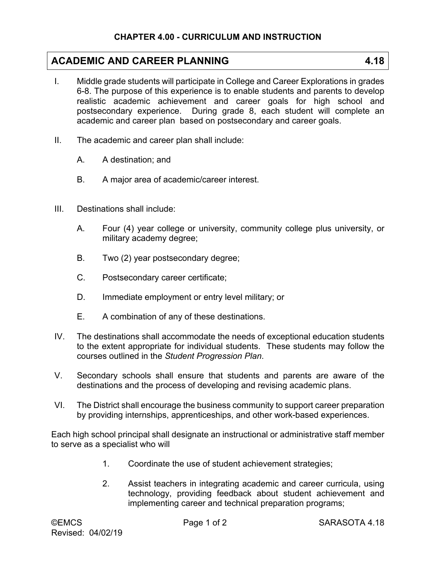## ACADEMIC AND CAREER PLANNING 4.18

- I. Middle grade students will participate in College and Career Explorations in grades 6-8. The purpose of this experience is to enable students and parents to develop realistic academic achievement and career goals for high school and postsecondary experience. During grade 8, each student will complete an academic and career plan based on postsecondary and career goals.
- II. The academic and career plan shall include:
	- A. A destination; and
	- B. A major area of academic/career interest.
- III. Destinations shall include:
	- A. Four (4) year college or university, community college plus university, or military academy degree;
	- B. Two (2) year postsecondary degree;
	- C. Postsecondary career certificate;
	- D. Immediate employment or entry level military; or
	- E. A combination of any of these destinations.
- IV. The destinations shall accommodate the needs of exceptional education students to the extent appropriate for individual students. These students may follow the courses outlined in the *Student Progression Plan*.
- V. Secondary schools shall ensure that students and parents are aware of the destinations and the process of developing and revising academic plans.
- VI. The District shall encourage the business community to support career preparation by providing internships, apprenticeships, and other work-based experiences.

Each high school principal shall designate an instructional or administrative staff member to serve as a specialist who will

- 1. Coordinate the use of student achievement strategies;
- 2. Assist teachers in integrating academic and career curricula, using technology, providing feedback about student achievement and implementing career and technical preparation programs;